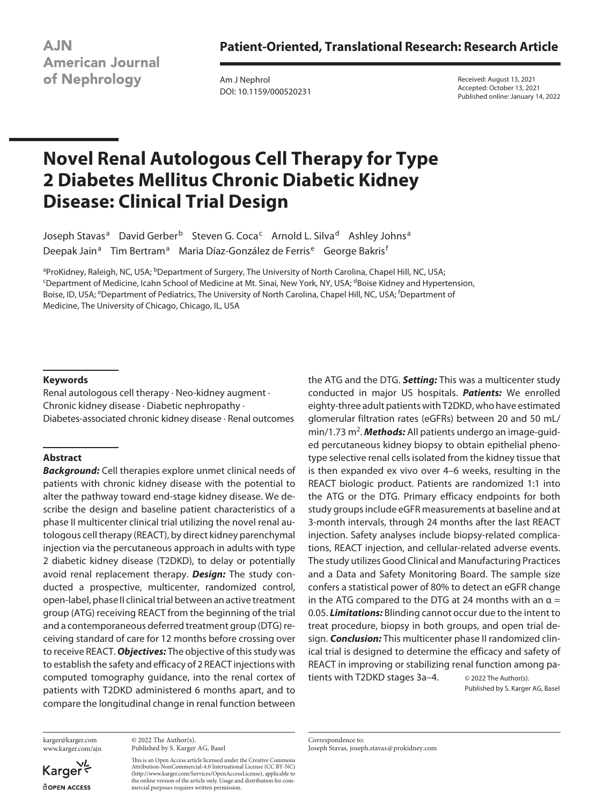**Patient-Oriented, Translational Research: Research Article**

**AJN American Journal** of Nephrology

Am J Nephrol DOI: 10.1159/000520231 Received: August 13, 2021 Accepted: October 13, 2021 Published online: January 14, 2022

# **Novel Renal Autologous Cell Therapy for Type 2 Diabetes Mellitus Chronic Diabetic Kidney Disease: Clinical Trial Design**

Joseph Stavas<sup>a</sup> David Gerber<sup>b</sup> Steven G. Coca<sup>c</sup> Arnold L. Silva<sup>d</sup> Ashley Johns<sup>a</sup> Deepak Jain<sup>a</sup> Tim Bertram<sup>a</sup> Maria Díaz-González de Ferris<sup>e</sup> George Bakris<sup>1</sup>

<sup>a</sup>ProKidney, Raleigh, NC, USA; <sup>b</sup>Department of Surgery, The University of North Carolina, Chapel Hill, NC, USA;<br><sup>c</sup>Department of Medicine, Icahn School of Medicine at Mt. Sinai, New York, NY, USA: <sup>d</sup>Roise Kidney and Hyp <sup>c</sup>Department of Medicine, Icahn School of Medicine at Mt. Sinai, New York, NY, USA; <sup>d</sup>Boise Kidney and Hypertension, Boise, ID, USA; <sup>e</sup>Department of Pediatrics, The University of North Carolina, Chapel Hill, NC, USA; <sup>f</sup>Department of Medicine, The University of Chicago, Chicago, IL, USA

### **Keywords**

Renal autologous cell therapy · Neo-kidney augment · Chronic kidney disease · Diabetic nephropathy · Diabetes-associated chronic kidney disease · Renal outcomes

### **Abstract**

*Background:* Cell therapies explore unmet clinical needs of patients with chronic kidney disease with the potential to alter the pathway toward end-stage kidney disease. We describe the design and baseline patient characteristics of a phase II multicenter clinical trial utilizing the novel renal autologous cell therapy (REACT), by direct kidney parenchymal injection via the percutaneous approach in adults with type 2 diabetic kidney disease (T2DKD), to delay or potentially avoid renal replacement therapy. *Design:* The study conducted a prospective, multicenter, randomized control, open-label, phase II clinical trial between an active treatment group (ATG) receiving REACT from the beginning of the trial and a contemporaneous deferred treatment group (DTG) receiving standard of care for 12 months before crossing over to receive REACT. *Objectives:* The objective of this study was to establish the safety and efficacy of 2 REACT injections with computed tomography guidance, into the renal cortex of patients with T2DKD administered 6 months apart, and to compare the longitudinal change in renal function between

karger@karger.com www.karger.com/ajn

Karger **ROPEN ACCESS** 

© 2022 The Author(s). Published by S. Karger AG, Basel

This is an Open Access article licensed under the Creative Commons Attribution-NonCommercial-4.0 International License (CC BY-NC) (http://www.karger.com/Services/OpenAccessLicense), applicable to the online version of the article only. Usage and distribution for commercial purposes requires written permission.

the ATG and the DTG. *Setting:* This was a multicenter study conducted in major US hospitals. *Patients:* We enrolled eighty-three adult patients with T2DKD, who have estimated glomerular filtration rates (eGFRs) between 20 and 50 mL/ min/1.73 m<sup>2</sup>. **Methods:** All patients undergo an image-guided percutaneous kidney biopsy to obtain epithelial phenotype selective renal cells isolated from the kidney tissue that is then expanded ex vivo over 4–6 weeks, resulting in the REACT biologic product. Patients are randomized 1:1 into the ATG or the DTG. Primary efficacy endpoints for both study groups include eGFR measurements at baseline and at 3-month intervals, through 24 months after the last REACT injection. Safety analyses include biopsy-related complications, REACT injection, and cellular-related adverse events. The study utilizes Good Clinical and Manufacturing Practices and a Data and Safety Monitoring Board. The sample size confers a statistical power of 80% to detect an eGFR change in the ATG compared to the DTG at 24 months with an  $\alpha =$ 0.05. *Limitations:* Blinding cannot occur due to the intent to treat procedure, biopsy in both groups, and open trial design. *Conclusion:* This multicenter phase II randomized clinical trial is designed to determine the efficacy and safety of REACT in improving or stabilizing renal function among pa-

tients with T2DKD stages 3a–4. © 2022 The Author(s).

Published by S. Karger AG, Basel

Correspondence to: Joseph Stavas, joseph.stavas@prokidney.com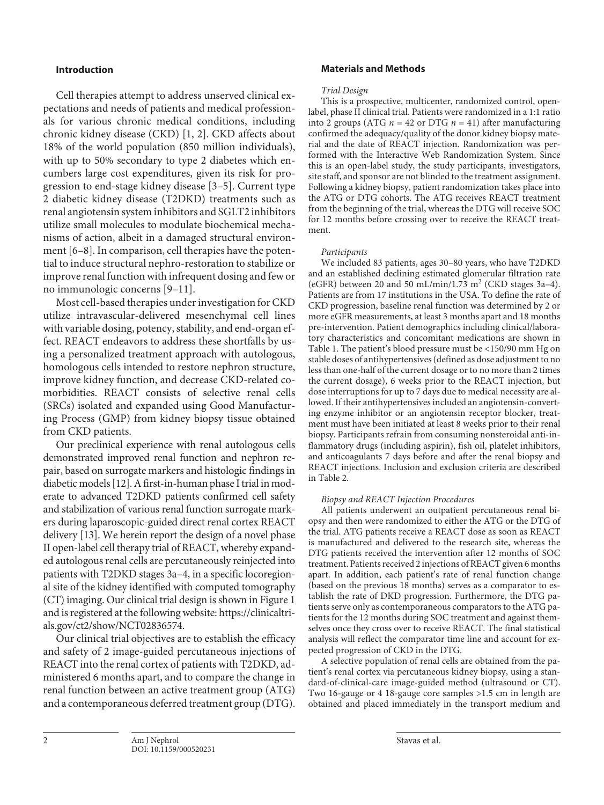### **Introduction**

<span id="page-1-1"></span><span id="page-1-0"></span>Cell therapies attempt to address unserved clinical expectations and needs of patients and medical professionals for various chronic medical conditions, including chronic kidney disease (CKD) [[1,](#page-7-0) [2\]](#page-7-1). CKD affects about 18% of the world population (850 million individuals), with up to 50% secondary to type 2 diabetes which encumbers large cost expenditures, given its risk for progression to end-stage kidney disease [[3](#page-7-2)–[5](#page-7-3)]. Current type 2 diabetic kidney disease (T2DKD) treatments such as renal angiotensin system inhibitors and SGLT2 inhibitors utilize small molecules to modulate biochemical mechanisms of action, albeit in a damaged structural environment [\[6–](#page-7-4)[8\]](#page-7-5). In comparison, cell therapies have the potential to induce structural nephro-restoration to stabilize or improve renal function with infrequent dosing and few or no immunologic concerns [[9](#page-7-6)–[11](#page-7-0)].

<span id="page-1-3"></span><span id="page-1-2"></span>Most cell-based therapies under investigation for CKD utilize intravascular-delivered mesenchymal cell lines with variable dosing, potency, stability, and end-organ effect. REACT endeavors to address these shortfalls by using a personalized treatment approach with autologous, homologous cells intended to restore nephron structure, improve kidney function, and decrease CKD-related comorbidities. REACT consists of selective renal cells (SRCs) isolated and expanded using Good Manufacturing Process (GMP) from kidney biopsy tissue obtained from CKD patients.

<span id="page-1-5"></span><span id="page-1-4"></span>Our preclinical experience with renal autologous cells demonstrated improved renal function and nephron repair, based on surrogate markers and histologic findings in diabetic models [\[1](#page-7-0)[2](#page-7-1)]. A first-in-human phase I trial in moderate to advanced T2DKD patients confirmed cell safety and stabilization of various renal function surrogate markers during laparoscopic-guided direct renal cortex REACT delivery [\[1](#page-7-0)[3\]](#page-7-2). We herein report the design of a novel phase II open-label cell therapy trial of REACT, whereby expanded autologous renal cells are percutaneously reinjected into patients with T2DKD stages 3a–4, in a specific locoregional site of the kidney identified with computed tomography (CT) imaging. Our clinical trial design is shown in Figure 1 and is registered at the following website: https://clinicaltrials.gov/ct2/show/NCT02836574.

Our clinical trial objectives are to establish the efficacy and safety of 2 image-guided percutaneous injections of REACT into the renal cortex of patients with T2DKD, administered 6 months apart, and to compare the change in renal function between an active treatment group (ATG) and a contemporaneous deferred treatment group (DTG).

### **Materials and Methods**

#### *Trial Design*

This is a prospective, multicenter, randomized control, openlabel, phase II clinical trial. Patients were randomized in a 1:1 ratio into 2 groups (ATG  $n = 42$  or DTG  $n = 41$ ) after manufacturing confirmed the adequacy/quality of the donor kidney biopsy material and the date of REACT injection. Randomization was performed with the Interactive Web Randomization System. Since this is an open-label study, the study participants, investigators, site staff, and sponsor are not blinded to the treatment assignment. Following a kidney biopsy, patient randomization takes place into the ATG or DTG cohorts. The ATG receives REACT treatment from the beginning of the trial, whereas the DTG will receive SOC for 12 months before crossing over to receive the REACT treatment.

### *Participants*

We included 83 patients, ages 30–80 years, who have T2DKD and an established declining estimated glomerular filtration rate (eGFR) between 20 and 50 mL/min/1.73 m<sup>2</sup> (CKD stages 3a-4). Patients are from 17 institutions in the USA. To define the rate of CKD progression, baseline renal function was determined by 2 or more eGFR measurements, at least 3 months apart and 18 months pre-intervention. Patient demographics including clinical/laboratory characteristics and concomitant medications are shown in Table 1. The patient's blood pressure must be <150/90 mm Hg on stable doses of antihypertensives (defined as dose adjustment to no less than one-half of the current dosage or to no more than 2 times the current dosage), 6 weeks prior to the REACT injection, but dose interruptions for up to 7 days due to medical necessity are allowed. If their antihypertensives included an angiotensin-converting enzyme inhibitor or an angiotensin receptor blocker, treatment must have been initiated at least 8 weeks prior to their renal biopsy. Participants refrain from consuming nonsteroidal anti-inflammatory drugs (including aspirin), fish oil, platelet inhibitors, and anticoagulants 7 days before and after the renal biopsy and REACT injections. Inclusion and exclusion criteria are described in Table 2.

### *Biopsy and REACT Injection Procedures*

All patients underwent an outpatient percutaneous renal biopsy and then were randomized to either the ATG or the DTG of the trial. ATG patients receive a REACT dose as soon as REACT is manufactured and delivered to the research site, whereas the DTG patients received the intervention after 12 months of SOC treatment. Patients received 2 injections of REACT given 6 months apart. In addition, each patient's rate of renal function change (based on the previous 18 months) serves as a comparator to establish the rate of DKD progression. Furthermore, the DTG patients serve only as contemporaneous comparators to the ATG patients for the 12 months during SOC treatment and against themselves once they cross over to receive REACT. The final statistical analysis will reflect the comparator time line and account for expected progression of CKD in the DTG.

A selective population of renal cells are obtained from the patient's renal cortex via percutaneous kidney biopsy, using a standard-of-clinical-care image-guided method (ultrasound or CT). Two 16-gauge or 4 18-gauge core samples >1.5 cm in length are obtained and placed immediately in the transport medium and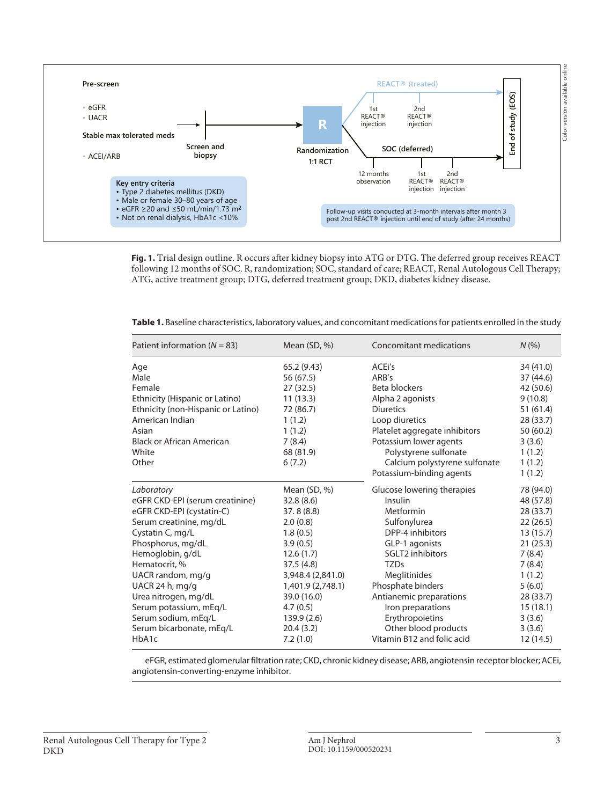

**Fig. 1.** Trial design outline. R occurs after kidney biopsy into ATG or DTG. The deferred group receives REACT following 12 months of SOC. R, randomization; SOC, standard of care; REACT, Renal Autologous Cell Therapy; ATG, active treatment group; DTG, deferred treatment group; DKD, diabetes kidney disease.

**Table 1.** Baseline characteristics, laboratory values, and concomitant medications for patients enrolled in the study

| Patient information ( $N = 83$ )                                                                                                                                                                                                                                                                                                                       | Mean $(SD, %)$                                                                                                                                                                                                      | Concomitant medications                                                                                                                                                                                                                                                                                   | N(% )                                                                                                                                                                     |
|--------------------------------------------------------------------------------------------------------------------------------------------------------------------------------------------------------------------------------------------------------------------------------------------------------------------------------------------------------|---------------------------------------------------------------------------------------------------------------------------------------------------------------------------------------------------------------------|-----------------------------------------------------------------------------------------------------------------------------------------------------------------------------------------------------------------------------------------------------------------------------------------------------------|---------------------------------------------------------------------------------------------------------------------------------------------------------------------------|
| Age<br>Male<br>Female<br>Ethnicity (Hispanic or Latino)<br>Ethnicity (non-Hispanic or Latino)<br>American Indian<br>Asian<br><b>Black or African American</b><br>White<br>Other                                                                                                                                                                        | 65.2(9.43)<br>56 (67.5)<br>27 (32.5)<br>11(13.3)<br>72 (86.7)<br>1(1.2)<br>1(1.2)<br>7(8.4)<br>68 (81.9)<br>6(7.2)                                                                                                  | ACE <sub>i</sub> 's<br>ARB's<br>Beta blockers<br>Alpha 2 agonists<br><b>Diuretics</b><br>Loop diuretics<br>Platelet aggregate inhibitors<br>Potassium lower agents<br>Polystyrene sulfonate<br>Calcium polystyrene sulfonate<br>Potassium-binding agents                                                  | 34 (41.0)<br>37 (44.6)<br>42 (50.6)<br>9(10.8)<br>51(61.4)<br>28 (33.7)<br>50(60.2)<br>3(3.6)<br>1(1.2)<br>1(1.2)<br>1(1.2)                                               |
| Laboratory<br>eGFR CKD-EPI (serum creatinine)<br>eGFR CKD-EPI (cystatin-C)<br>Serum creatinine, mg/dL<br>Cystatin C, mg/L<br>Phosphorus, mg/dL<br>Hemoglobin, g/dL<br>Hematocrit, %<br>UACR random, mg/g<br>UACR 24 h, mg/g<br>Urea nitrogen, mg/dL<br>Serum potassium, mEq/L<br>Serum sodium, mEq/L<br>Serum bicarbonate, mEq/L<br>HbA <sub>1</sub> c | Mean $(SD, %)$<br>32.8(8.6)<br>37.8(8.8)<br>2.0(0.8)<br>1.8(0.5)<br>3.9(0.5)<br>12.6(1.7)<br>37.5(4.8)<br>3,948.4 (2,841.0)<br>1,401.9 (2,748.1)<br>39.0 (16.0)<br>4.7(0.5)<br>139.9 (2.6)<br>20.4(3.2)<br>7.2(1.0) | Glucose lowering therapies<br>Insulin<br>Metformin<br>Sulfonylurea<br>DPP-4 inhibitors<br>GLP-1 agonists<br>SGLT2 inhibitors<br><b>TZDs</b><br>Meglitinides<br>Phosphate binders<br>Antianemic preparations<br>Iron preparations<br>Erythropoietins<br>Other blood products<br>Vitamin B12 and folic acid | 78 (94.0)<br>48 (57.8)<br>28 (33.7)<br>22(26.5)<br>13(15.7)<br>21(25.3)<br>7(8.4)<br>7(8.4)<br>1(1.2)<br>5(6.0)<br>28 (33.7)<br>15(18.1)<br>3(3.6)<br>3(3.6)<br>12 (14.5) |

eFGR, estimated glomerular filtration rate; CKD, chronic kidney disease; ARB, angiotensin receptor blocker; ACEi, angiotensin-converting-enzyme inhibitor.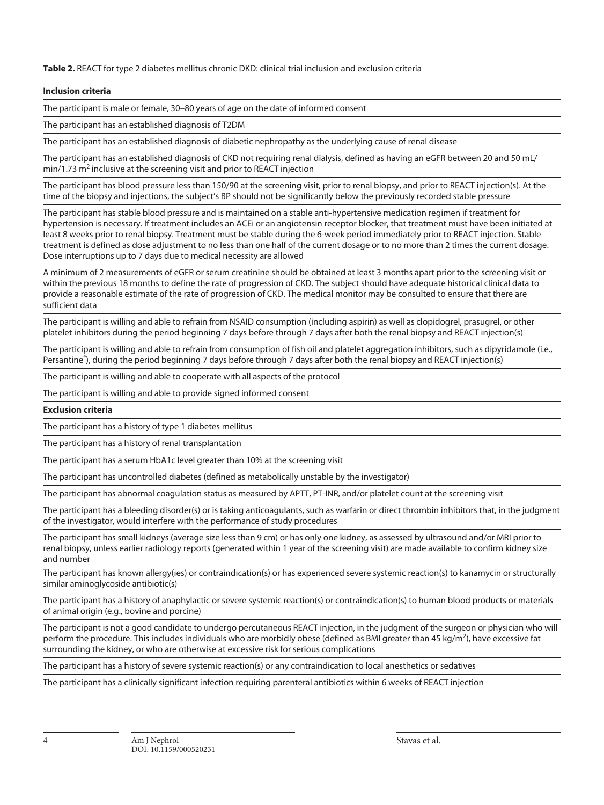**Table 2.** REACT for type 2 diabetes mellitus chronic DKD: clinical trial inclusion and exclusion criteria

#### **Inclusion criteria**

The participant is male or female, 30–80 years of age on the date of informed consent

The participant has an established diagnosis of T2DM

The participant has an established diagnosis of diabetic nephropathy as the underlying cause of renal disease

The participant has an established diagnosis of CKD not requiring renal dialysis, defined as having an eGFR between 20 and 50 mL/  $min/1.73$  m<sup>2</sup> inclusive at the screening visit and prior to REACT injection

The participant has blood pressure less than 150/90 at the screening visit, prior to renal biopsy, and prior to REACT injection(s). At the time of the biopsy and injections, the subject's BP should not be significantly below the previously recorded stable pressure

The participant has stable blood pressure and is maintained on a stable anti-hypertensive medication regimen if treatment for hypertension is necessary. If treatment includes an ACEi or an angiotensin receptor blocker, that treatment must have been initiated at least 8 weeks prior to renal biopsy. Treatment must be stable during the 6-week period immediately prior to REACT injection. Stable treatment is defined as dose adjustment to no less than one half of the current dosage or to no more than 2 times the current dosage. Dose interruptions up to 7 days due to medical necessity are allowed

A minimum of 2 measurements of eGFR or serum creatinine should be obtained at least 3 months apart prior to the screening visit or within the previous 18 months to define the rate of progression of CKD. The subject should have adequate historical clinical data to provide a reasonable estimate of the rate of progression of CKD. The medical monitor may be consulted to ensure that there are sufficient data

The participant is willing and able to refrain from NSAID consumption (including aspirin) as well as clopidogrel, prasugrel, or other platelet inhibitors during the period beginning 7 days before through 7 days after both the renal biopsy and REACT injection(s)

The participant is willing and able to refrain from consumption of fish oil and platelet aggregation inhibitors, such as dipyridamole (i.e., Persantine® ), during the period beginning 7 days before through 7 days after both the renal biopsy and REACT injection(s)

The participant is willing and able to cooperate with all aspects of the protocol

The participant is willing and able to provide signed informed consent

### **Exclusion criteria**

The participant has a history of type 1 diabetes mellitus

The participant has a history of renal transplantation

The participant has a serum HbA1c level greater than 10% at the screening visit

The participant has uncontrolled diabetes (defined as metabolically unstable by the investigator)

The participant has abnormal coagulation status as measured by APTT, PT-INR, and/or platelet count at the screening visit

The participant has a bleeding disorder(s) or is taking anticoagulants, such as warfarin or direct thrombin inhibitors that, in the judgment of the investigator, would interfere with the performance of study procedures

The participant has small kidneys (average size less than 9 cm) or has only one kidney, as assessed by ultrasound and/or MRI prior to renal biopsy, unless earlier radiology reports (generated within 1 year of the screening visit) are made available to confirm kidney size and number

The participant has known allergy(ies) or contraindication(s) or has experienced severe systemic reaction(s) to kanamycin or structurally similar aminoglycoside antibiotic(s)

The participant has a history of anaphylactic or severe systemic reaction(s) or contraindication(s) to human blood products or materials of animal origin (e.g., bovine and porcine)

The participant is not a good candidate to undergo percutaneous REACT injection, in the judgment of the surgeon or physician who will perform the procedure. This includes individuals who are morbidly obese (defined as BMI greater than 45 kg/m<sup>2</sup>), have excessive fat surrounding the kidney, or who are otherwise at excessive risk for serious complications

The participant has a history of severe systemic reaction(s) or any contraindication to local anesthetics or sedatives

The participant has a clinically significant infection requiring parenteral antibiotics within 6 weeks of REACT injection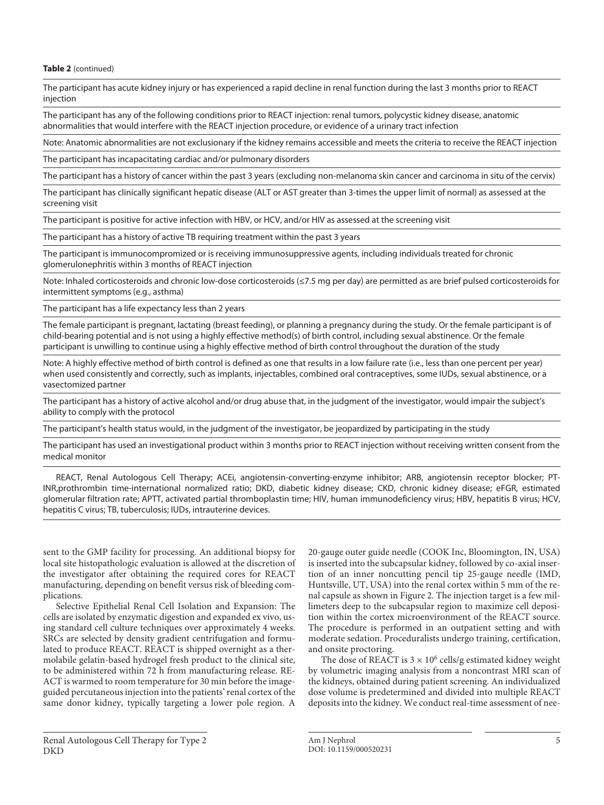**Table 2** (continued)

The participant has acute kidney injury or has experienced a rapid decline in renal function during the last 3 months prior to REACT injection

The participant has any of the following conditions prior to REACT injection: renal tumors, polycystic kidney disease, anatomic abnormalities that would interfere with the REACT injection procedure, or evidence of a urinary tract infection

Note: Anatomic abnormalities are not exclusionary if the kidney remains accessible and meets the criteria to receive the REACT injection

The participant has incapacitating cardiac and/or pulmonary disorders

The participant has a history of cancer within the past 3 years (excluding non-melanoma skin cancer and carcinoma in situ of the cervix)

The participant has clinically significant hepatic disease (ALT or AST greater than 3-times the upper limit of normal) as assessed at the screening visit

The participant is positive for active infection with HBV, or HCV, and/or HIV as assessed at the screening visit

The participant has a history of active TB requiring treatment within the past 3 years

The participant is immunocompromized or is receiving immunosuppressive agents, including individuals treated for chronic glomerulonephritis within 3 months of REACT injection

Note: Inhaled corticosteroids and chronic low-dose corticosteroids (≤7.5 mg per day) are permitted as are brief pulsed corticosteroids for intermittent symptoms (e.g., asthma)

The participant has a life expectancy less than 2 years

The female participant is pregnant, lactating (breast feeding), or planning a pregnancy during the study. Or the female participant is of child-bearing potential and is not using a highly effective method(s) of birth control, including sexual abstinence. Or the female participant is unwilling to continue using a highly effective method of birth control throughout the duration of the study

Note: A highly effective method of birth control is defined as one that results in a low failure rate (i.e., less than one percent per year) when used consistently and correctly, such as implants, injectables, combined oral contraceptives, some IUDs, sexual abstinence, or a vasectomized partner

The participant has a history of active alcohol and/or drug abuse that, in the judgment of the investigator, would impair the subject's ability to comply with the protocol

The participant's health status would, in the judgment of the investigator, be jeopardized by participating in the study

The participant has used an investigational product within 3 months prior to REACT injection without receiving written consent from the medical monitor

REACT, Renal Autologous Cell Therapy; ACEi, angiotensin-converting-enzyme inhibitor; ARB, angiotensin receptor blocker; PT-INR,prothrombin time-international normalized ratio; DKD, diabetic kidney disease; CKD, chronic kidney disease; eFGR, estimated glomerular filtration rate; APTT, activated partial thromboplastin time; HIV, human immunodeficiency virus; HBV, hepatitis B virus; HCV, hepatitis C virus; TB, tuberculosis; IUDs, intrauterine devices.

sent to the GMP facility for processing. An additional biopsy for local site histopathologic evaluation is allowed at the discretion of the investigator after obtaining the required cores for REACT manufacturing, depending on benefit versus risk of bleeding complications.

Selective Epithelial Renal Cell Isolation and Expansion: The cells are isolated by enzymatic digestion and expanded ex vivo, using standard cell culture techniques over approximately 4 weeks. SRCs are selected by density gradient centrifugation and formulated to produce REACT. REACT is shipped overnight as a thermolabile gelatin-based hydrogel fresh product to the clinical site, to be administered within 72 h from manufacturing release. RE-ACT is warmed to room temperature for 30 min before the imageguided percutaneous injection into the patients' renal cortex of the same donor kidney, typically targeting a lower pole region. A

DKD

20-gauge outer guide needle (COOK Inc, Bloomington, IN, USA) is inserted into the subcapsular kidney, followed by co-axial insertion of an inner noncutting pencil tip 25-gauge needle (IMD, Huntsville, UT, USA) into the renal cortex within 5 mm of the renal capsule as shown in Figure 2. The injection target is a few millimeters deep to the subcapsular region to maximize cell deposition within the cortex microenvironment of the REACT source. The procedure is performed in an outpatient setting and with moderate sedation. Proceduralists undergo training, certification, and onsite proctoring.

The dose of REACT is  $3 \times 10^6$  cells/g estimated kidney weight by volumetric imaging analysis from a noncontrast MRI scan of the kidneys, obtained during patient screening. An individualized dose volume is predetermined and divided into multiple REACT deposits into the kidney. We conduct real-time assessment of nee-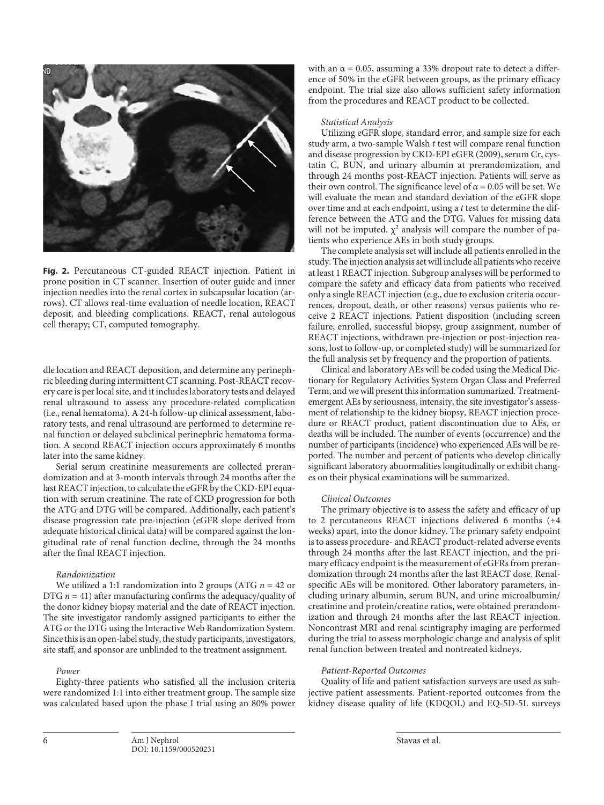

**Fig. 2.** Percutaneous CT-guided REACT injection. Patient in prone position in CT scanner. Insertion of outer guide and inner injection needles into the renal cortex in subcapsular location (arrows). CT allows real-time evaluation of needle location, REACT deposit, and bleeding complications. REACT, renal autologous cell therapy; CT, computed tomography.

dle location and REACT deposition, and determine any perinephric bleeding during intermittent CT scanning. Post-REACT recovery care is per local site, and it includes laboratory tests and delayed renal ultrasound to assess any procedure-related complication (i.e., renal hematoma). A 24-h follow-up clinical assessment, laboratory tests, and renal ultrasound are performed to determine renal function or delayed subclinical perinephric hematoma formation. A second REACT injection occurs approximately 6 months later into the same kidney.

Serial serum creatinine measurements are collected prerandomization and at 3-month intervals through 24 months after the last REACT injection, to calculate the eGFR by the CKD-EPI equation with serum creatinine. The rate of CKD progression for both the ATG and DTG will be compared. Additionally, each patient's disease progression rate pre-injection (eGFR slope derived from adequate historical clinical data) will be compared against the longitudinal rate of renal function decline, through the 24 months after the final REACT injection.

#### *Randomization*

We utilized a 1:1 randomization into 2 groups (ATG *n* = 42 or DTG  $n = 41$ ) after manufacturing confirms the adequacy/quality of the donor kidney biopsy material and the date of REACT injection. The site investigator randomly assigned participants to either the ATG or the DTG using the Interactive Web Randomization System. Since this is an open-label study, the study participants, investigators, site staff, and sponsor are unblinded to the treatment assignment.

#### *Power*

Eighty-three patients who satisfied all the inclusion criteria were randomized 1:1 into either treatment group. The sample size was calculated based upon the phase I trial using an 80% power with an  $\alpha$  = 0.05, assuming a 33% dropout rate to detect a difference of 50% in the eGFR between groups, as the primary efficacy endpoint. The trial size also allows sufficient safety information from the procedures and REACT product to be collected.

#### *Statistical Analysis*

Utilizing eGFR slope, standard error, and sample size for each study arm, a two-sample Walsh *t* test will compare renal function and disease progression by CKD-EPI eGFR (2009), serum Cr, cystatin C, BUN, and urinary albumin at prerandomization, and through 24 months post-REACT injection. Patients will serve as their own control. The significance level of  $\alpha$  = 0.05 will be set. We will evaluate the mean and standard deviation of the eGFR slope over time and at each endpoint, using a *t* test to determine the difference between the ATG and the DTG. Values for missing data will not be imputed.  $\chi^2$  analysis will compare the number of patients who experience AEs in both study groups.

The complete analysis set will include all patients enrolled in the study. The injection analysis set will include all patients who receive at least 1 REACT injection. Subgroup analyses will be performed to compare the safety and efficacy data from patients who received only a single REACT injection (e.g., due to exclusion criteria occurrences, dropout, death, or other reasons) versus patients who receive 2 REACT injections. Patient disposition (including screen failure, enrolled, successful biopsy, group assignment, number of REACT injections, withdrawn pre-injection or post-injection reasons, lost to follow-up, or completed study) will be summarized for the full analysis set by frequency and the proportion of patients.

Clinical and laboratory AEs will be coded using the Medical Dictionary for Regulatory Activities System Organ Class and Preferred Term, and we will present this information summarized. Treatmentemergent AEs by seriousness, intensity, the site investigator's assessment of relationship to the kidney biopsy, REACT injection procedure or REACT product, patient discontinuation due to AEs, or deaths will be included. The number of events (occurrence) and the number of participants (incidence) who experienced AEs will be reported. The number and percent of patients who develop clinically significant laboratory abnormalities longitudinally or exhibit changes on their physical examinations will be summarized.

#### *Clinical Outcomes*

The primary objective is to assess the safety and efficacy of up to 2 percutaneous REACT injections delivered 6 months (+4 weeks) apart, into the donor kidney. The primary safety endpoint is to assess procedure- and REACT product-related adverse events through 24 months after the last REACT injection, and the primary efficacy endpoint is the measurement of eGFRs from prerandomization through 24 months after the last REACT dose. Renalspecific AEs will be monitored. Other laboratory parameters, including urinary albumin, serum BUN, and urine microalbumin/ creatinine and protein/creatine ratios, were obtained prerandomization and through 24 months after the last REACT injection. Noncontrast MRI and renal scintigraphy imaging are performed during the trial to assess morphologic change and analysis of split renal function between treated and nontreated kidneys.

#### *Patient-Reported Outcomes*

Quality of life and patient satisfaction surveys are used as subjective patient assessments. Patient-reported outcomes from the kidney disease quality of life (KDQOL) and EQ-5D-5L surveys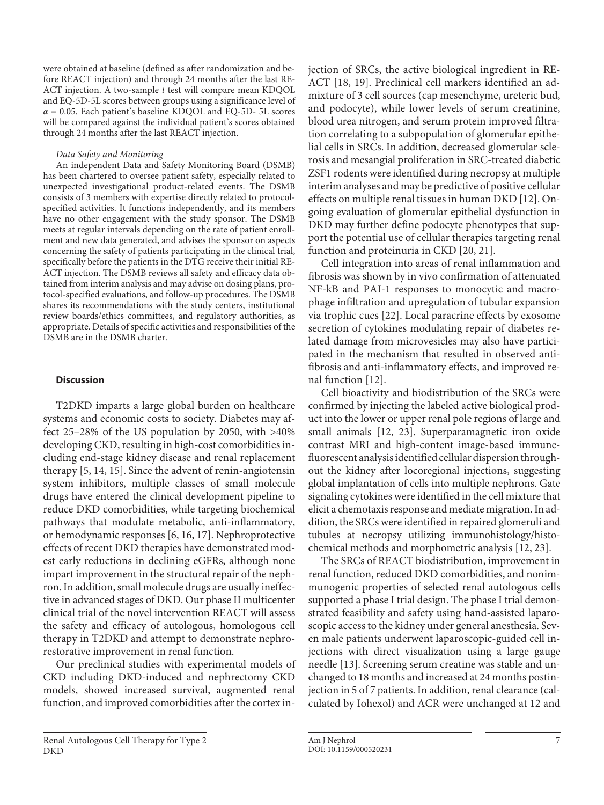were obtained at baseline (defined as after randomization and before REACT injection) and through 24 months after the last RE-ACT injection. A two-sample *t* test will compare mean KDQOL and EQ-5D-5L scores between groups using a significance level of  $\alpha$  = 0.05. Each patient's baseline KDQOL and EQ-5D- 5L scores will be compared against the individual patient's scores obtained through 24 months after the last REACT injection.

### *Data Safety and Monitoring*

An independent Data and Safety Monitoring Board (DSMB) has been chartered to oversee patient safety, especially related to unexpected investigational product-related events. The DSMB consists of 3 members with expertise directly related to protocolspecified activities. It functions independently, and its members have no other engagement with the study sponsor. The DSMB meets at regular intervals depending on the rate of patient enrollment and new data generated, and advises the sponsor on aspects concerning the safety of patients participating in the clinical trial, specifically before the patients in the DTG receive their initial RE-ACT injection. The DSMB reviews all safety and efficacy data obtained from interim analysis and may advise on dosing plans, protocol-specified evaluations, and follow-up procedures. The DSMB shares its recommendations with the study centers, institutional review boards/ethics committees, and regulatory authorities, as appropriate. Details of specific activities and responsibilities of the DSMB are in the DSMB charter.

### **Discussion**

<span id="page-6-0"></span>T2DKD imparts a large global burden on healthcare systems and economic costs to society. Diabetes may affect 25–28% of the US population by 2050, with >40% developing CKD, resulting in high-cost comorbidities including end-stage kidney disease and renal replacement therapy [\[5,](#page-7-3) [1](#page-7-0)[4,](#page-7-7) [1](#page-7-0)[5](#page-7-3)]. Since the advent of renin-angiotensin system inhibitors, multiple classes of small molecule drugs have entered the clinical development pipeline to reduce DKD comorbidities, while targeting biochemical pathways that modulate metabolic, anti-inflammatory, or hemodynamic responses [[6](#page-7-4), [1](#page-7-0)[6](#page-7-4), [1](#page-7-0)[7](#page-7-8)]. Nephroprotective effects of recent DKD therapies have demonstrated modest early reductions in declining eGFRs, although none impart improvement in the structural repair of the nephron. In addition, small molecule drugs are usually ineffective in advanced stages of DKD. Our phase II multicenter clinical trial of the novel intervention REACT will assess the safety and efficacy of autologous, homologous cell therapy in T2DKD and attempt to demonstrate nephrorestorative improvement in renal function.

Our preclinical studies with experimental models of CKD including DKD-induced and nephrectomy CKD models, showed increased survival, augmented renal function, and improved comorbidities after the cortex injection of SRCs, the active biological ingredient in RE-ACT [[1](#page-7-0)[8,](#page-7-5) [1](#page-7-0)[9](#page-7-6)]. Preclinical cell markers identified an admixture of 3 cell sources (cap mesenchyme, ureteric bud, and podocyte), while lower levels of serum creatinine, blood urea nitrogen, and serum protein improved filtration correlating to a subpopulation of glomerular epithelial cells in SRCs. In addition, decreased glomerular sclerosis and mesangial proliferation in SRC-treated diabetic ZSF1 rodents were identified during necropsy at multiple interim analyses and may be predictive of positive cellular effects on multiple renal tissues in human DKD [[1](#page-7-0)[2](#page-7-1)]. Ongoing evaluation of glomerular epithelial dysfunction in DKD may further define podocyte phenotypes that support the potential use of cellular therapies targeting renal function and proteinuria in CKD [[20](#page-7-1), [2](#page-7-1)[1\]](#page-7-0).

Cell integration into areas of renal inflammation and fibrosis was shown by in vivo confirmation of attenuated NF-kB and PAI-1 responses to monocytic and macrophage infiltration and upregulation of tubular expansion via trophic cues [[22](#page-7-1)]. Local paracrine effects by exosome secretion of cytokines modulating repair of diabetes related damage from microvesicles may also have participated in the mechanism that resulted in observed antifibrosis and anti-inflammatory effects, and improved renal function [\[1](#page-7-0)[2\]](#page-7-1).

Cell bioactivity and biodistribution of the SRCs were confirmed by injecting the labeled active biological product into the lower or upper renal pole regions of large and small animals [\[1](#page-7-0)[2,](#page-7-1) [2](#page-7-1)[3\]](#page-7-2). Superparamagnetic iron oxide contrast MRI and high-content image-based immunefluorescent analysis identified cellular dispersion throughout the kidney after locoregional injections, suggesting global implantation of cells into multiple nephrons. Gate signaling cytokines were identified in the cell mixture that elicit a chemotaxis response and mediate migration. In addition, the SRCs were identified in repaired glomeruli and tubules at necropsy utilizing immunohistology/histochemical methods and morphometric analysis [[1](#page-7-0)[2](#page-7-1), [2](#page-7-1)[3\]](#page-7-2).

The SRCs of REACT biodistribution, improvement in renal function, reduced DKD comorbidities, and nonimmunogenic properties of selected renal autologous cells supported a phase I trial design. The phase I trial demonstrated feasibility and safety using hand-assisted laparoscopic access to the kidney under general anesthesia. Seven male patients underwent laparoscopic-guided cell injections with direct visualization using a large gauge needle [[1](#page-7-0)[3](#page-7-2)]. Screening serum creatine was stable and unchanged to 18 months and increased at 24 months postinjection in 5 of 7 patients. In addition, renal clearance (calculated by Iohexol) and ACR were unchanged at 12 and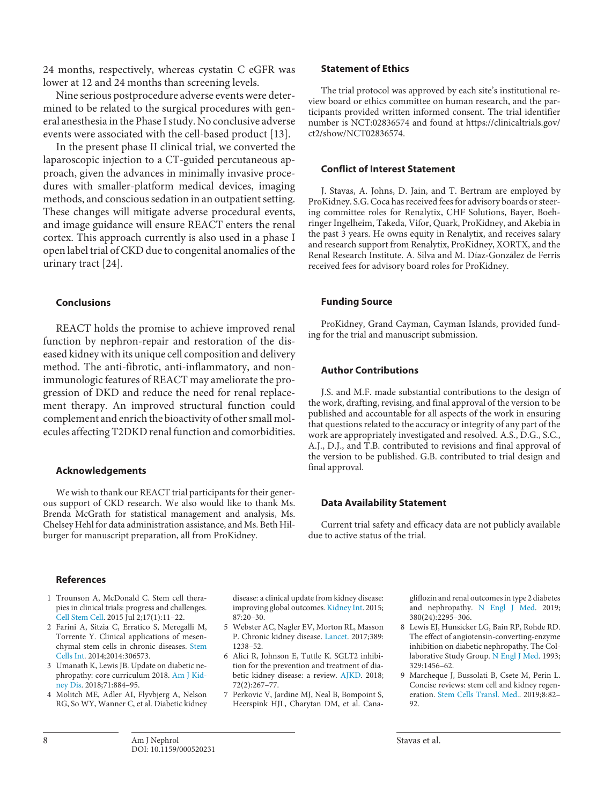24 months, respectively, whereas cystatin C eGFR was lower at 12 and 24 months than screening levels.

Nine serious postprocedure adverse events were determined to be related to the surgical procedures with general anesthesia in the Phase I study. No conclusive adverse events were associated with the cell-based product [[1](#page-7-0)[3](#page-7-2)].

In the present phase II clinical trial, we converted the laparoscopic injection to a CT-guided percutaneous approach, given the advances in minimally invasive procedures with smaller-platform medical devices, imaging methods, and conscious sedation in an outpatient setting. These changes will mitigate adverse procedural events, and image guidance will ensure REACT enters the renal cortex. This approach currently is also used in a phase I open label trial of CKD due to congenital anomalies of the urinary tract [\[2](#page-7-1)[4\]](#page-7-7).

### **Conclusions**

REACT holds the promise to achieve improved renal function by nephron-repair and restoration of the diseased kidney with its unique cell composition and delivery method. The anti-fibrotic, anti-inflammatory, and nonimmunologic features of REACT may ameliorate the progression of DKD and reduce the need for renal replacement therapy. An improved structural function could complement and enrich the bioactivity of other small molecules affecting T2DKD renal function and comorbidities.

### **Acknowledgements**

We wish to thank our REACT trial participants for their generous support of CKD research. We also would like to thank Ms. Brenda McGrath for statistical management and analysis, Ms. Chelsey Hehl for data administration assistance, and Ms. Beth Hilburger for manuscript preparation, all from ProKidney.

### **References**

- <span id="page-7-0"></span>[1](#page-1-0) Trounson A, McDonald C. Stem cell therapies in clinical trials: progress and challenges. [Cell Stem Cell](https://www.karger.com/Article/FullText/520231?ref=1#ref1). 2015 Jul 2;17(1):11–22.
- <span id="page-7-1"></span>[2](#page-1-0) Farini A, Sitzia C, Erratico S, Meregalli M, Torrente Y. Clinical applications of mesenchymal stem cells in chronic diseases. [Stem](https://www.karger.com/Article/FullText/520231?ref=2#ref2) [Cells Int](https://www.karger.com/Article/FullText/520231?ref=2#ref2). 2014;2014:306573.
- <span id="page-7-2"></span>[3](#page-1-1) Umanath K, Lewis JB. Update on diabetic nephropathy: core curriculum 2018. [Am J Kid](https://www.karger.com/Article/FullText/520231?ref=3#ref3)[ney Dis](https://www.karger.com/Article/FullText/520231?ref=3#ref3). 2018;71:884–95.
- <span id="page-7-7"></span>[4](#page-1-1) Molitch ME, Adler AI, Flyvbjerg A, Nelson RG, So WY, Wanner C, et al. Diabetic kidney

disease: a clinical update from kidney disease: improving global outcomes. [Kidney Int.](https://www.karger.com/Article/FullText/520231?ref=4#ref4) 2015; 87:20–30.

- <span id="page-7-3"></span>[5](#page-1-1) Webster AC, Nagler EV, Morton RL, Masson P. Chronic kidney disease. [Lancet](https://www.karger.com/Article/FullText/520231?ref=5#ref5). 2017;389: 1238–52.
- <span id="page-7-4"></span>[6](#page-1-2) Alici R, Johnson E, Tuttle K. SGLT2 inhibition for the prevention and treatment of diabetic kidney disease: a review. [AJKD.](https://www.karger.com/Article/FullText/520231?ref=6#ref6) 2018; 72(2):267–77.
- <span id="page-7-8"></span>[7](#page-1-2) Perkovic V, Jardine MJ, Neal B, Bompoint S, Heerspink HJL, Charytan DM, et al. Cana-

gliflozin and renal outcomes in type 2 diabetes and nephropathy. [N Engl J Med.](https://www.karger.com/Article/FullText/520231?ref=7#ref7) 2019; 380(24):2295–306.

- <span id="page-7-5"></span>[8](#page-1-2) Lewis EJ, Hunsicker LG, Bain RP, Rohde RD. The effect of angiotensin-converting-enzyme inhibition on diabetic nephropathy. The Col-laborative Study Group. [N Engl J Med](https://www.karger.com/Article/FullText/520231?ref=8#ref8). 1993; 329:1456–62.
- <span id="page-7-6"></span>[9](#page-1-3) Marcheque J, Bussolati B, Csete M, Perin L. Concise reviews: stem cell and kidney regeneration. [Stem Cells Transl. Med.](https://www.karger.com/Article/FullText/520231?ref=9#ref9). 2019;8:82– 92.

## **Conflict of Interest Statement**

**Statement of Ethics**

ct2/show/NCT02836574.

J. Stavas, A. Johns, D. Jain, and T. Bertram are employed by ProKidney. S.G. Coca has received fees for advisory boards or steering committee roles for Renalytix, CHF Solutions, Bayer, Boehringer Ingelheim, Takeda, Vifor, Quark, ProKidney, and Akebia in the past 3 years. He owns equity in Renalytix, and receives salary and research support from Renalytix, ProKidney, XORTX, and the Renal Research Institute. A. Silva and M. Díaz-González de Ferris received fees for advisory board roles for ProKidney.

The trial protocol was approved by each site's institutional review board or ethics committee on human research, and the participants provided written informed consent. The trial identifier number is NCT:02836574 and found at https://clinicaltrials.gov/

### **Funding Source**

ProKidney, Grand Cayman, Cayman Islands, provided funding for the trial and manuscript submission.

### **Author Contributions**

J.S. and M.F. made substantial contributions to the design of the work, drafting, revising, and final approval of the version to be published and accountable for all aspects of the work in ensuring that questions related to the accuracy or integrity of any part of the work are appropriately investigated and resolved. A.S., D.G., S.C., A.J., D.J., and T.B. contributed to revisions and final approval of the version to be published. G.B. contributed to trial design and final approval.

### **Data Availability Statement**

Current trial safety and efficacy data are not publicly available due to active status of the trial.